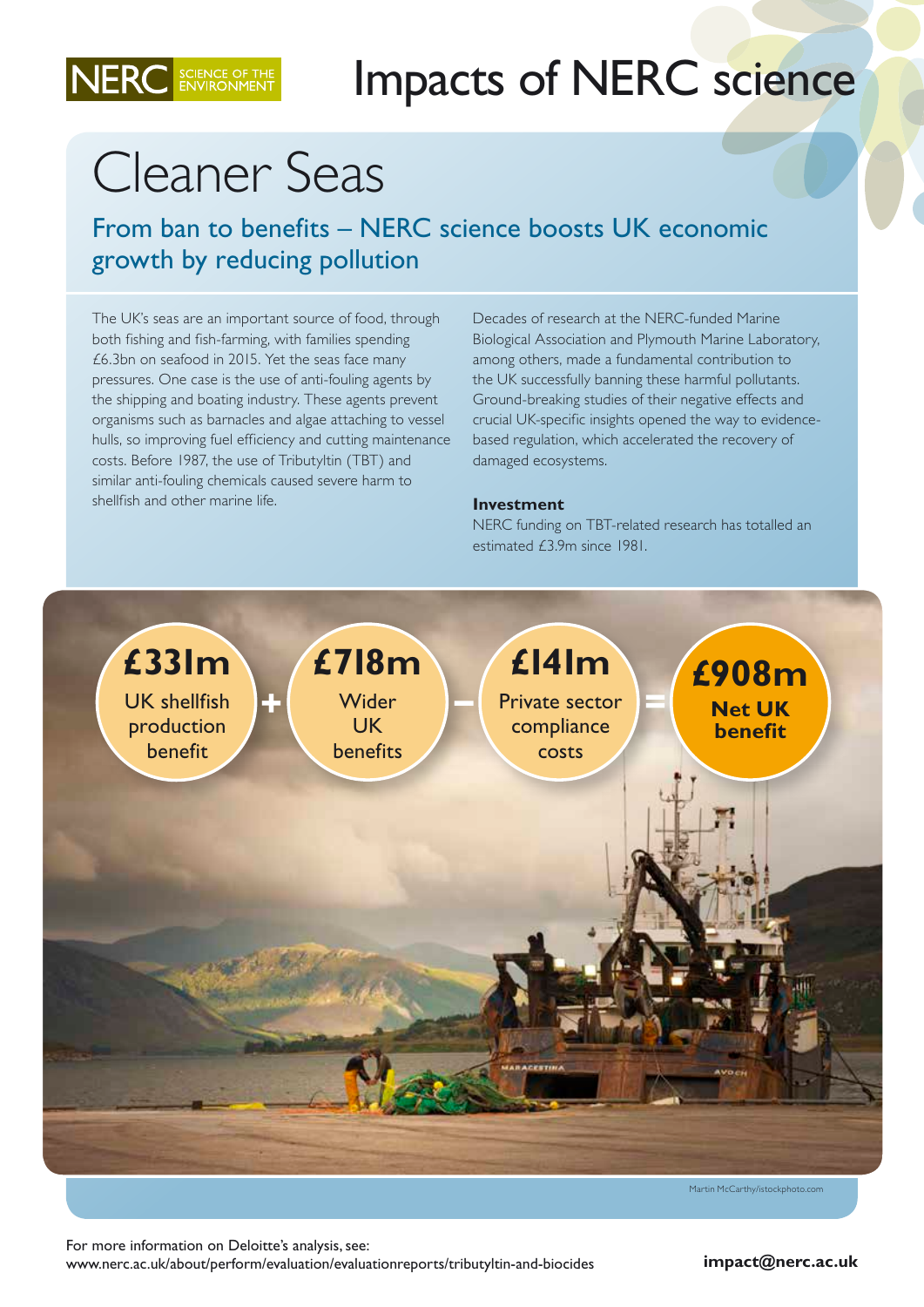

## Cleaner Seas

NERC SCIENCE OF TH

From ban to benefits – NERC science boosts UK economic growth by reducing pollution

The UK's seas are an important source of food, through both fishing and fish-farming, with families spending £6.3bn on seafood in 2015. Yet the seas face many pressures. One case is the use of anti-fouling agents by the shipping and boating industry. These agents prevent organisms such as barnacles and algae attaching to vessel hulls, so improving fuel efficiency and cutting maintenance costs. Before 1987, the use of Tributyltin (TBT) and similar anti-fouling chemicals caused severe harm to shellfish and other marine life.

Decades of research at the NERC-funded Marine Biological Association and Plymouth Marine Laboratory, among others, made a fundamental contribution to the UK successfully banning these harmful pollutants. Ground-breaking studies of their negative effects and crucial UK-specific insights opened the way to evidencebased regulation, which accelerated the recovery of damaged ecosystems.

## **Investment**

NERC funding on TBT-related research has totalled an estimated £3.9m since 1981.



Martin McCarthy/istockphoto.com